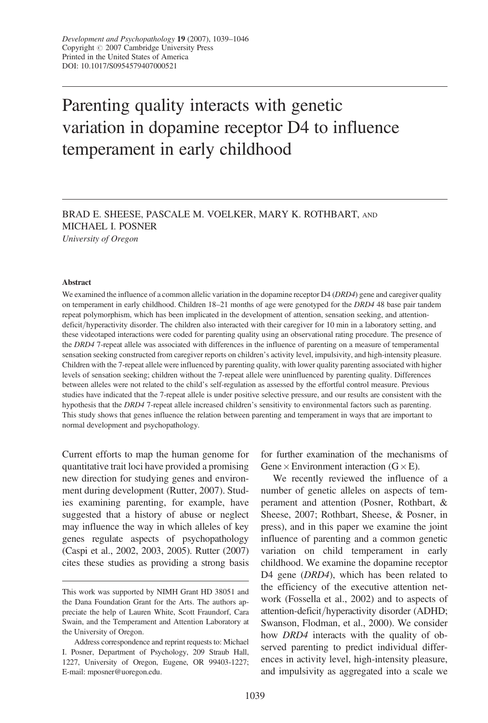# Parenting quality interacts with genetic variation in dopamine receptor D4 to influence temperament in early childhood

BRAD E. SHEESE, PASCALE M. VOELKER, MARY K. ROTHBART, AND MICHAEL I. POSNER University of Oregon

#### Abstract

We examined the influence of a common allelic variation in the dopamine receptor D4 (DRD4) gene and caregiver quality on temperament in early childhood. Children 18–21 months of age were genotyped for the DRD4 48 base pair tandem repeat polymorphism, which has been implicated in the development of attention, sensation seeking, and attentiondeficit/hyperactivity disorder. The children also interacted with their caregiver for 10 min in a laboratory setting, and these videotaped interactions were coded for parenting quality using an observational rating procedure. The presence of the DRD4 7-repeat allele was associated with differences in the influence of parenting on a measure of temperamental sensation seeking constructed from caregiver reports on children's activity level, impulsivity, and high-intensity pleasure. Children with the 7-repeat allele were influenced by parenting quality, with lower quality parenting associated with higher levels of sensation seeking; children without the 7-repeat allele were uninfluenced by parenting quality. Differences between alleles were not related to the child's self-regulation as assessed by the effortful control measure. Previous studies have indicated that the 7-repeat allele is under positive selective pressure, and our results are consistent with the hypothesis that the DRD4 7-repeat allele increased children's sensitivity to environmental factors such as parenting. This study shows that genes influence the relation between parenting and temperament in ways that are important to normal development and psychopathology.

Current efforts to map the human genome for quantitative trait loci have provided a promising new direction for studying genes and environment during development (Rutter, 2007). Studies examining parenting, for example, have suggested that a history of abuse or neglect may influence the way in which alleles of key genes regulate aspects of psychopathology (Caspi et al., 2002, 2003, 2005). Rutter (2007) cites these studies as providing a strong basis for further examination of the mechanisms of Gene  $\times$  Environment interaction (G  $\times$  E).

We recently reviewed the influence of a number of genetic alleles on aspects of temperament and attention (Posner, Rothbart, & Sheese, 2007; Rothbart, Sheese, & Posner, in press), and in this paper we examine the joint influence of parenting and a common genetic variation on child temperament in early childhood. We examine the dopamine receptor D4 gene *(DRD4)*, which has been related to the efficiency of the executive attention network (Fossella et al., 2002) and to aspects of attention-deficit/hyperactivity disorder (ADHD; Swanson, Flodman, et al., 2000). We consider how *DRD4* interacts with the quality of observed parenting to predict individual differences in activity level, high-intensity pleasure, and impulsivity as aggregated into a scale we

This work was supported by NIMH Grant HD 38051 and the Dana Foundation Grant for the Arts. The authors appreciate the help of Lauren White, Scott Fraundorf, Cara Swain, and the Temperament and Attention Laboratory at the University of Oregon.

Address correspondence and reprint requests to: Michael I. Posner, Department of Psychology, 209 Straub Hall, 1227, University of Oregon, Eugene, OR 99403-1227; E-mail: mposner@uoregon.edu.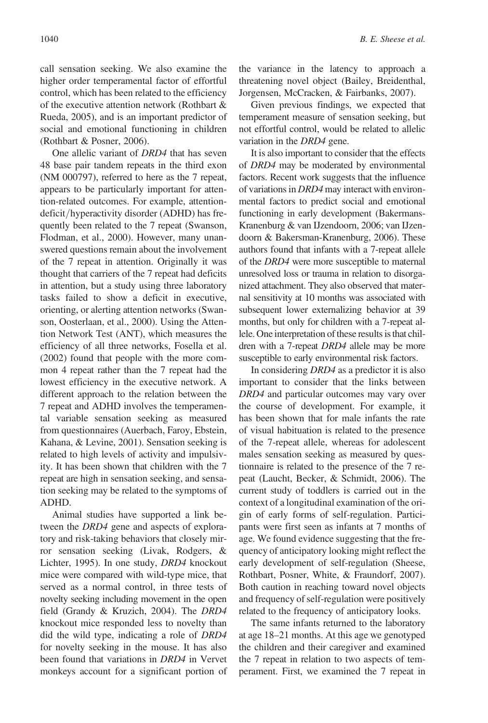call sensation seeking. We also examine the higher order temperamental factor of effortful control, which has been related to the efficiency of the executive attention network (Rothbart & Rueda, 2005), and is an important predictor of social and emotional functioning in children (Rothbart & Posner, 2006).

One allelic variant of DRD4 that has seven 48 base pair tandem repeats in the third exon (NM 000797), referred to here as the 7 repeat, appears to be particularly important for attention-related outcomes. For example, attentiondeficit/hyperactivity disorder (ADHD) has frequently been related to the 7 repeat (Swanson, Flodman, et al., 2000). However, many unanswered questions remain about the involvement of the 7 repeat in attention. Originally it was thought that carriers of the 7 repeat had deficits in attention, but a study using three laboratory tasks failed to show a deficit in executive, orienting, or alerting attention networks (Swanson, Oosterlaan, et al., 2000). Using the Attention Network Test (ANT), which measures the efficiency of all three networks, Fosella et al. (2002) found that people with the more common 4 repeat rather than the 7 repeat had the lowest efficiency in the executive network. A different approach to the relation between the 7 repeat and ADHD involves the temperamental variable sensation seeking as measured from questionnaires (Auerbach, Faroy, Ebstein, Kahana, & Levine, 2001). Sensation seeking is related to high levels of activity and impulsivity. It has been shown that children with the 7 repeat are high in sensation seeking, and sensation seeking may be related to the symptoms of ADHD.

Animal studies have supported a link between the DRD4 gene and aspects of exploratory and risk-taking behaviors that closely mirror sensation seeking (Livak, Rodgers, & Lichter, 1995). In one study, DRD4 knockout mice were compared with wild-type mice, that served as a normal control, in three tests of novelty seeking including movement in the open field (Grandy & Kruzich, 2004). The DRD4 knockout mice responded less to novelty than did the wild type, indicating a role of DRD4 for novelty seeking in the mouse. It has also been found that variations in DRD4 in Vervet monkeys account for a significant portion of

the variance in the latency to approach a threatening novel object (Bailey, Breidenthal, Jorgensen, McCracken, & Fairbanks, 2007).

Given previous findings, we expected that temperament measure of sensation seeking, but not effortful control, would be related to allelic variation in the DRD4 gene.

It is also important to consider that the effects of DRD4 may be moderated by environmental factors. Recent work suggests that the influence of variations in DRD4 may interact with environmental factors to predict social and emotional functioning in early development (Bakermans-Kranenburg & van IJzendoorn, 2006; van IJzendoorn & Bakersman-Kranenburg, 2006). These authors found that infants with a 7-repeat allele of the DRD4 were more susceptible to maternal unresolved loss or trauma in relation to disorganized attachment. They also observed that maternal sensitivity at 10 months was associated with subsequent lower externalizing behavior at 39 months, but only for children with a 7-repeat allele. One interpretation of these results is that children with a 7-repeat DRD4 allele may be more susceptible to early environmental risk factors.

In considering DRD4 as a predictor it is also important to consider that the links between DRD4 and particular outcomes may vary over the course of development. For example, it has been shown that for male infants the rate of visual habituation is related to the presence of the 7-repeat allele, whereas for adolescent males sensation seeking as measured by questionnaire is related to the presence of the 7 repeat (Laucht, Becker, & Schmidt, 2006). The current study of toddlers is carried out in the context of a longitudinal examination of the origin of early forms of self-regulation. Participants were first seen as infants at 7 months of age. We found evidence suggesting that the frequency of anticipatory looking might reflect the early development of self-regulation (Sheese, Rothbart, Posner, White, & Fraundorf, 2007). Both caution in reaching toward novel objects and frequency of self-regulation were positively related to the frequency of anticipatory looks.

The same infants returned to the laboratory at age 18–21 months. At this age we genotyped the children and their caregiver and examined the 7 repeat in relation to two aspects of temperament. First, we examined the 7 repeat in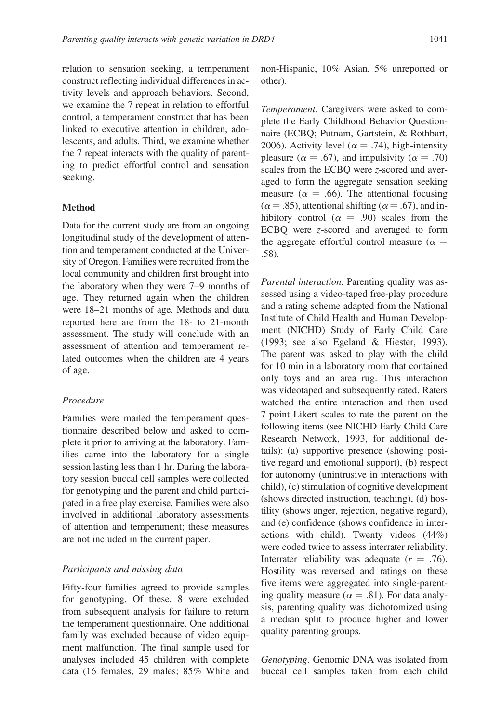relation to sensation seeking, a temperament construct reflecting individual differences in activity levels and approach behaviors. Second, we examine the 7 repeat in relation to effortful control, a temperament construct that has been linked to executive attention in children, adolescents, and adults. Third, we examine whether the 7 repeat interacts with the quality of parenting to predict effortful control and sensation seeking.

## Method

Data for the current study are from an ongoing longitudinal study of the development of attention and temperament conducted at the University of Oregon. Families were recruited from the local community and children first brought into the laboratory when they were 7–9 months of age. They returned again when the children were 18–21 months of age. Methods and data reported here are from the 18- to 21-month assessment. The study will conclude with an assessment of attention and temperament related outcomes when the children are 4 years of age.

# Procedure

Families were mailed the temperament questionnaire described below and asked to complete it prior to arriving at the laboratory. Families came into the laboratory for a single session lasting less than 1 hr. During the laboratory session buccal cell samples were collected for genotyping and the parent and child participated in a free play exercise. Families were also involved in additional laboratory assessments of attention and temperament; these measures are not included in the current paper.

## Participants and missing data

Fifty-four families agreed to provide samples for genotyping. Of these, 8 were excluded from subsequent analysis for failure to return the temperament questionnaire. One additional family was excluded because of video equipment malfunction. The final sample used for analyses included 45 children with complete data (16 females, 29 males; 85% White and non-Hispanic, 10% Asian, 5% unreported or other).

Temperament. Caregivers were asked to complete the Early Childhood Behavior Questionnaire (ECBQ; Putnam, Gartstein, & Rothbart, 2006). Activity level ( $\alpha = .74$ ), high-intensity pleasure ( $\alpha = .67$ ), and impulsivity ( $\alpha = .70$ ) scales from the ECBQ were z-scored and averaged to form the aggregate sensation seeking measure ( $\alpha = .66$ ). The attentional focusing  $(\alpha = .85)$ , attentional shifting ( $\alpha = .67$ ), and inhibitory control ( $\alpha = .90$ ) scales from the ECBQ were z-scored and averaged to form the aggregate effortful control measure ( $\alpha =$ .58).

Parental interaction. Parenting quality was assessed using a video-taped free-play procedure and a rating scheme adapted from the National Institute of Child Health and Human Development (NICHD) Study of Early Child Care (1993; see also Egeland & Hiester, 1993). The parent was asked to play with the child for 10 min in a laboratory room that contained only toys and an area rug. This interaction was videotaped and subsequently rated. Raters watched the entire interaction and then used 7-point Likert scales to rate the parent on the following items (see NICHD Early Child Care Research Network, 1993, for additional details): (a) supportive presence (showing positive regard and emotional support), (b) respect for autonomy (unintrusive in interactions with child), (c) stimulation of cognitive development (shows directed instruction, teaching), (d) hostility (shows anger, rejection, negative regard), and (e) confidence (shows confidence in interactions with child). Twenty videos (44%) were coded twice to assess interrater reliability. Interrater reliability was adequate  $(r = .76)$ . Hostility was reversed and ratings on these five items were aggregated into single-parenting quality measure ( $\alpha = .81$ ). For data analysis, parenting quality was dichotomized using a median split to produce higher and lower quality parenting groups.

Genotyping. Genomic DNA was isolated from buccal cell samples taken from each child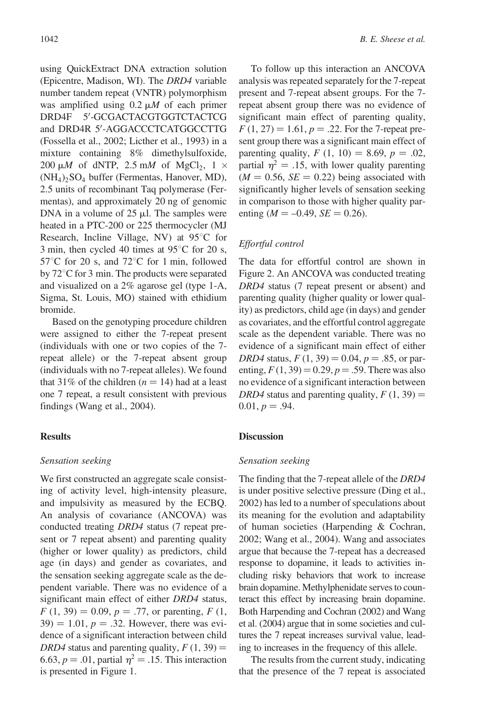using QuickExtract DNA extraction solution (Epicentre, Madison, WI). The DRD4 variable number tandem repeat (VNTR) polymorphism was amplified using  $0.2 \mu M$  of each primer  $DRD4F$ -GCGACTACGTGGTCTACTCG and DRD4R 5'-AGGACCCTCATGGCCTTG (Fossella et al., 2002; Licther et al., 1993) in a mixture containing 8% dimethylsulfoxide, 200  $\mu$ *M* of dNTP, 2.5 m*M* of MgCl<sub>2</sub>, 1  $\times$  $(NH_4)$ <sub>2</sub>SO<sub>4</sub> buffer (Fermentas, Hanover, MD), 2.5 units of recombinant Taq polymerase (Fermentas), and approximately 20 ng of genomic DNA in a volume of  $25 \mu l$ . The samples were heated in a PTC-200 or 225 thermocycler (MJ Research, Incline Village, NV) at  $95^{\circ}$ C for 3 min, then cycled 40 times at  $95^{\circ}$ C for 20 s,  $57^{\circ}$ C for 20 s, and  $72^{\circ}$ C for 1 min, followed by  $72^{\circ}$ C for 3 min. The products were separated and visualized on a 2% agarose gel (type 1-A, Sigma, St. Louis, MO) stained with ethidium bromide.

Based on the genotyping procedure children were assigned to either the 7-repeat present (individuals with one or two copies of the 7 repeat allele) or the 7-repeat absent group (individuals with no 7-repeat alleles). We found that 31% of the children  $(n = 14)$  had at a least one 7 repeat, a result consistent with previous findings (Wang et al., 2004).

# Results

# Sensation seeking

We first constructed an aggregate scale consisting of activity level, high-intensity pleasure, and impulsivity as measured by the ECBQ. An analysis of covariance (ANCOVA) was conducted treating DRD4 status (7 repeat present or 7 repeat absent) and parenting quality (higher or lower quality) as predictors, child age (in days) and gender as covariates, and the sensation seeking aggregate scale as the dependent variable. There was no evidence of a significant main effect of either *DRD4* status,  $F(1, 39) = 0.09, p = .77$ , or parenting,  $F(1, 19) = 0.09$  $39$ ) = 1.01, p = .32. However, there was evidence of a significant interaction between child DRD4 status and parenting quality,  $F(1, 39) =$ 6.63,  $p = .01$ , partial  $\eta^2 = .15$ . This interaction is presented in Figure 1.

To follow up this interaction an ANCOVA analysis was repeated separately for the 7-repeat present and 7-repeat absent groups. For the 7 repeat absent group there was no evidence of significant main effect of parenting quality,  $F(1, 27) = 1.61$ ,  $p = .22$ . For the 7-repeat present group there was a significant main effect of parenting quality,  $F(1, 10) = 8.69, p = .02$ , partial  $\eta^2 = .15$ , with lower quality parenting  $(M = 0.56, SE = 0.22)$  being associated with significantly higher levels of sensation seeking in comparison to those with higher quality parenting ( $M = -0.49$ ,  $SE = 0.26$ ).

# Effortful control

The data for effortful control are shown in Figure 2. An ANCOVA was conducted treating DRD4 status (7 repeat present or absent) and parenting quality (higher quality or lower quality) as predictors, child age (in days) and gender as covariates, and the effortful control aggregate scale as the dependent variable. There was no evidence of a significant main effect of either DRD4 status,  $F(1, 39) = 0.04$ ,  $p = .85$ , or parenting,  $F(1, 39) = 0.29$ ,  $p = .59$ . There was also no evidence of a significant interaction between DRD4 status and parenting quality,  $F(1, 39) =$  $0.01, p = .94.$ 

# **Discussion**

# Sensation seeking

The finding that the 7-repeat allele of the DRD4 is under positive selective pressure (Ding et al., 2002) has led to a number of speculations about its meaning for the evolution and adaptability of human societies (Harpending & Cochran, 2002; Wang et al., 2004). Wang and associates argue that because the 7-repeat has a decreased response to dopamine, it leads to activities including risky behaviors that work to increase brain dopamine. Methylphenidate serves to counteract this effect by increasing brain dopamine. Both Harpending and Cochran (2002) and Wang et al. (2004) argue that in some societies and cultures the 7 repeat increases survival value, leading to increases in the frequency of this allele.

The results from the current study, indicating that the presence of the 7 repeat is associated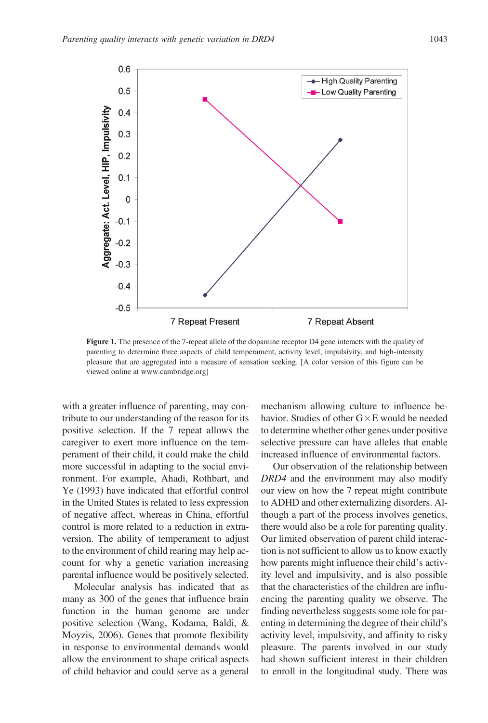

Figure 1. The presence of the 7-repeat allele of the dopamine receptor D4 gene interacts with the quality of parenting to determine three aspects of child temperament, activity level, impulsivity, and high-intensity pleasure that are aggregated into a measure of sensation seeking. [A color version of this figure can be viewed online at www.cambridge.org]

with a greater influence of parenting, may contribute to our understanding of the reason for its positive selection. If the 7 repeat allows the caregiver to exert more influence on the temperament of their child, it could make the child more successful in adapting to the social environment. For example, Ahadi, Rothbart, and Ye (1993) have indicated that effortful control in the United States is related to less expression of negative affect, whereas in China, effortful control is more related to a reduction in extraversion. The ability of temperament to adjust to the environment of child rearing may help account for why a genetic variation increasing parental influence would be positively selected.

Molecular analysis has indicated that as many as 300 of the genes that influence brain function in the human genome are under positive selection (Wang, Kodama, Baldi, & Moyzis, 2006). Genes that promote flexibility in response to environmental demands would allow the environment to shape critical aspects of child behavior and could serve as a general mechanism allowing culture to influence behavior. Studies of other  $G \times E$  would be needed to determine whether other genes under positive selective pressure can have alleles that enable increased influence of environmental factors.

Our observation of the relationship between DRD4 and the environment may also modify our view on how the 7 repeat might contribute to ADHD and other externalizing disorders. Although a part of the process involves genetics, there would also be a role for parenting quality. Our limited observation of parent child interaction is not sufficient to allow us to know exactly how parents might influence their child's activity level and impulsivity, and is also possible that the characteristics of the children are influencing the parenting quality we observe. The finding nevertheless suggests some role for parenting in determining the degree of their child's activity level, impulsivity, and affinity to risky pleasure. The parents involved in our study had shown sufficient interest in their children to enroll in the longitudinal study. There was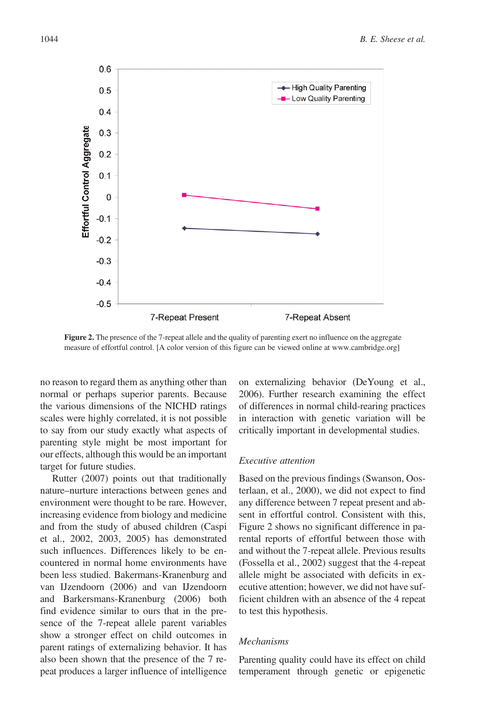

Figure 2. The presence of the 7-repeat allele and the quality of parenting exert no influence on the aggregate measure of effortful control. [A color version of this figure can be viewed online at www.cambridge.org]

no reason to regard them as anything other than normal or perhaps superior parents. Because the various dimensions of the NICHD ratings scales were highly correlated, it is not possible to say from our study exactly what aspects of parenting style might be most important for our effects, although this would be an important target for future studies.

Rutter (2007) points out that traditionally nature–nurture interactions between genes and environment were thought to be rare. However, increasing evidence from biology and medicine and from the study of abused children (Caspi et al., 2002, 2003, 2005) has demonstrated such influences. Differences likely to be encountered in normal home environments have been less studied. Bakermans-Kranenburg and van IJzendoorn (2006) and van IJzendoorn and Barkersmans-Kranenburg (2006) both find evidence similar to ours that in the presence of the 7-repeat allele parent variables show a stronger effect on child outcomes in parent ratings of externalizing behavior. It has also been shown that the presence of the 7 repeat produces a larger influence of intelligence on externalizing behavior (DeYoung et al., 2006). Further research examining the effect of differences in normal child-rearing practices in interaction with genetic variation will be critically important in developmental studies.

## Executive attention

Based on the previous findings (Swanson, Oosterlaan, et al., 2000), we did not expect to find any difference between 7 repeat present and absent in effortful control. Consistent with this, Figure 2 shows no significant difference in parental reports of effortful between those with and without the 7-repeat allele. Previous results (Fossella et al., 2002) suggest that the 4-repeat allele might be associated with deficits in executive attention; however, we did not have sufficient children with an absence of the 4 repeat to test this hypothesis.

## Mechanisms

Parenting quality could have its effect on child temperament through genetic or epigenetic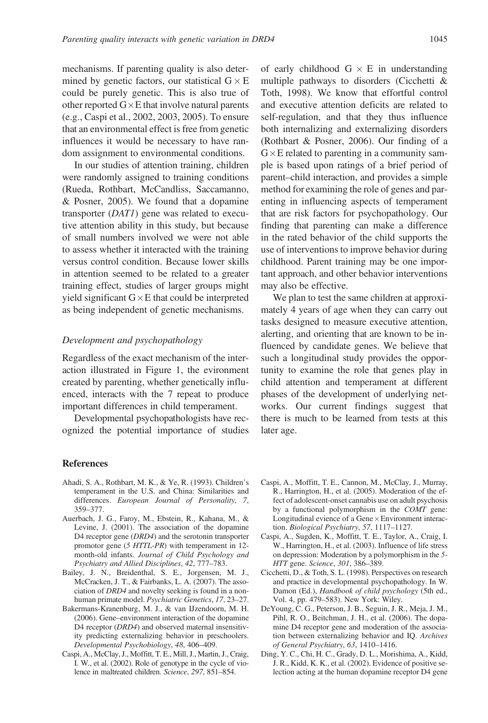mechanisms. If parenting quality is also determined by genetic factors, our statistical  $G \times E$ could be purely genetic. This is also true of other reported  $G \times E$  that involve natural parents (e.g., Caspi et al., 2002, 2003, 2005). To ensure that an environmental effect is free from genetic influences it would be necessary to have random assignment to environmental conditions.

In our studies of attention training, children were randomly assigned to training conditions (Rueda, Rothbart, McCandliss, Saccamanno, & Posner, 2005). We found that a dopamine transporter (DAT1) gene was related to executive attention ability in this study, but because of small numbers involved we were not able to assess whether it interacted with the training versus control condition. Because lower skills in attention seemed to be related to a greater training effect, studies of larger groups might yield significant  $G \times E$  that could be interpreted as being independent of genetic mechanisms.

## Development and psychopathology

Regardless of the exact mechanism of the interaction illustrated in Figure 1, the evironment created by parenting, whether genetically influenced, interacts with the 7 repeat to produce important differences in child temperament.

Developmental psychopathologists have recognized the potential importance of studies

of early childhood  $G \times E$  in understanding multiple pathways to disorders (Cicchetti & Toth, 1998). We know that effortful control and executive attention deficits are related to self-regulation, and that they thus influence both internalizing and externalizing disorders (Rothbart & Posner, 2006). Our finding of a  $G \times E$  related to parenting in a community sample is based upon ratings of a brief period of parent–child interaction, and provides a simple method for examining the role of genes and parenting in influencing aspects of temperament that are risk factors for psychopathology. Our finding that parenting can make a difference in the rated behavior of the child supports the use of interventions to improve behavior during childhood. Parent training may be one important approach, and other behavior interventions may also be effective.

We plan to test the same children at approximately 4 years of age when they can carry out tasks designed to measure executive attention, alerting, and orienting that are known to be influenced by candidate genes. We believe that such a longitudinal study provides the opportunity to examine the role that genes play in child attention and temperament at different phases of the development of underlying networks. Our current findings suggest that there is much to be learned from tests at this later age.

### References

- Ahadi, S. A., Rothbart, M. K., & Ye, R. (1993). Children's temperament in the U.S. and China: Similarities and differences. European Journal of Personality, 7, 359–377.
- Auerbach, J. G., Faroy, M., Ebstein, R., Kahana, M., & Levine, J. (2001). The association of the dopamine D4 receptor gene (DRD4) and the serotonin transporter promotor gene (5 HTTL-PR) with temperament in 12 month-old infants. Journal of Child Psychology and Psychiatry and Allied Disciplines, 42, 777–783.
- Bailey, J. N., Breidenthal, S. E., Jorgensen, M. J., McCracken, J. T., & Fairbanks, L. A. (2007). The association of DRD4 and novelty seeking is found in a nonhuman primate model. Psychiatric Genetics, 17, 23–27.
- Bakermans-Kranenburg, M. J., & van IJzendoorn, M. H. (2006). Gene–environment interaction of the dopamine D4 receptor (DRD4) and observed maternal insensitivity predicting externalizing behavior in preschoolers. Developmental Psychobiology, 48, 406–409.
- Caspi, A., McClay, J., Moffitt, T. E., Mill, J., Martin, J., Craig, I. W., et al. (2002). Role of genotype in the cycle of violence in maltreated children. Science, 297, 851–854.
- Caspi, A., Moffitt, T. E., Cannon, M., McClay, J., Murray, R., Harrington, H., et al. (2005). Moderation of the effect of adolescent-onset cannabis use on adult psychosis by a functional polymorphism in the COMT gene: Longitudinal evience of a Gene × Environment interaction. Biological Psychiatry, 57, 1117–1127.
- Caspi, A., Sugden, K., Moffitt, T. E., Taylor, A., Craig, I. W., Harrington, H., et al. (2003). Influence of life stress on depression: Moderation by a polymorphism in the 5- HTT gene. Science, 301, 386–389.
- Cicchetti, D., & Toth, S. L. (1998). Perspectives on research and practice in developmental psychopathology. In W. Damon (Ed.), Handbook of child psychology (5th ed., Vol. 4, pp. 479–583). New York: Wiley.
- DeYoung, C. G., Peterson, J. B., Seguin, J. R., Meja, J. M., Pihl, R. O., Beitchman, J. H., et al. (2006). The dopamine D4 receptor gene and moderation of the association between externalizing behavior and IQ. Archives of General Psychiatry, 63, 1410–1416.
- Ding, Y. C., Chi, H. C., Grady, D. L., Morishima, A., Kidd, J. R., Kidd, K. K., et al. (2002). Evidence of positive selection acting at the human dopamine receptor D4 gene